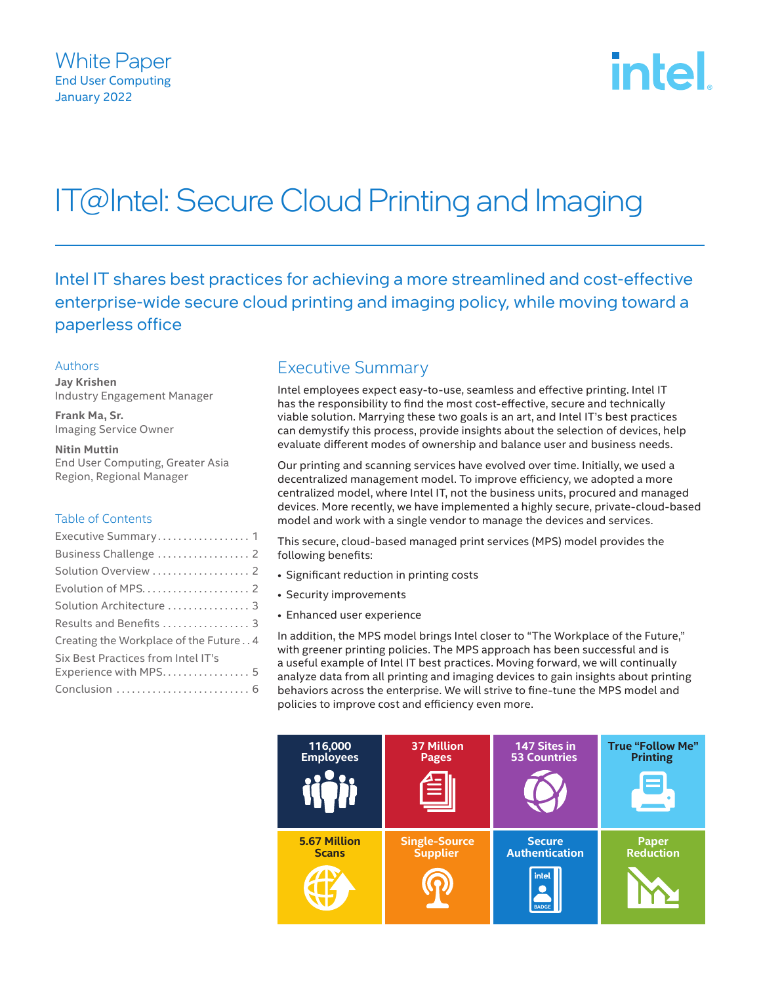

# IT@Intel: Secure Cloud Printing and Imaging

Intel IT shares best practices for achieving a more streamlined and cost-effective enterprise-wide secure cloud printing and imaging policy, while moving toward a paperless office

#### Authors

**Jay Krishen** Industry Engagement Manager

**Frank Ma, Sr.** Imaging Service Owner

**Nitin Muttin** End User Computing, Greater Asia Region, Regional Manager

#### Table of Contents

| Executive Summary 1                   |
|---------------------------------------|
| Business Challenge  2                 |
| Solution Overview  2                  |
|                                       |
| Solution Architecture  3              |
| Results and Benefits  3               |
| Creating the Workplace of the Future4 |
| Six Best Practices from Intel IT's    |
| Experience with MPS 5                 |
|                                       |

# Executive Summary

Intel employees expect easy-to-use, seamless and effective printing. Intel IT has the responsibility to find the most cost-effective, secure and technically viable solution. Marrying these two goals is an art, and Intel IT's best practices can demystify this process, provide insights about the selection of devices, help evaluate different modes of ownership and balance user and business needs.

Our printing and scanning services have evolved over time. Initially, we used a decentralized management model. To improve efficiency, we adopted a more centralized model, where Intel IT, not the business units, procured and managed devices. More recently, we have implemented a highly secure, private-cloud-based model and work with a single vendor to manage the devices and services.

This secure, cloud-based managed print services (MPS) model provides the following benefits:

- Significant reduction in printing costs
- Security improvements
- Enhanced user experience

In addition, the MPS model brings Intel closer to "The Workplace of the Future," with greener printing policies. The MPS approach has been successful and is a useful example of Intel IT best practices. Moving forward, we will continually analyze data from all printing and imaging devices to gain insights about printing behaviors across the enterprise. We will strive to fine-tune the MPS model and policies to improve cost and efficiency even more.

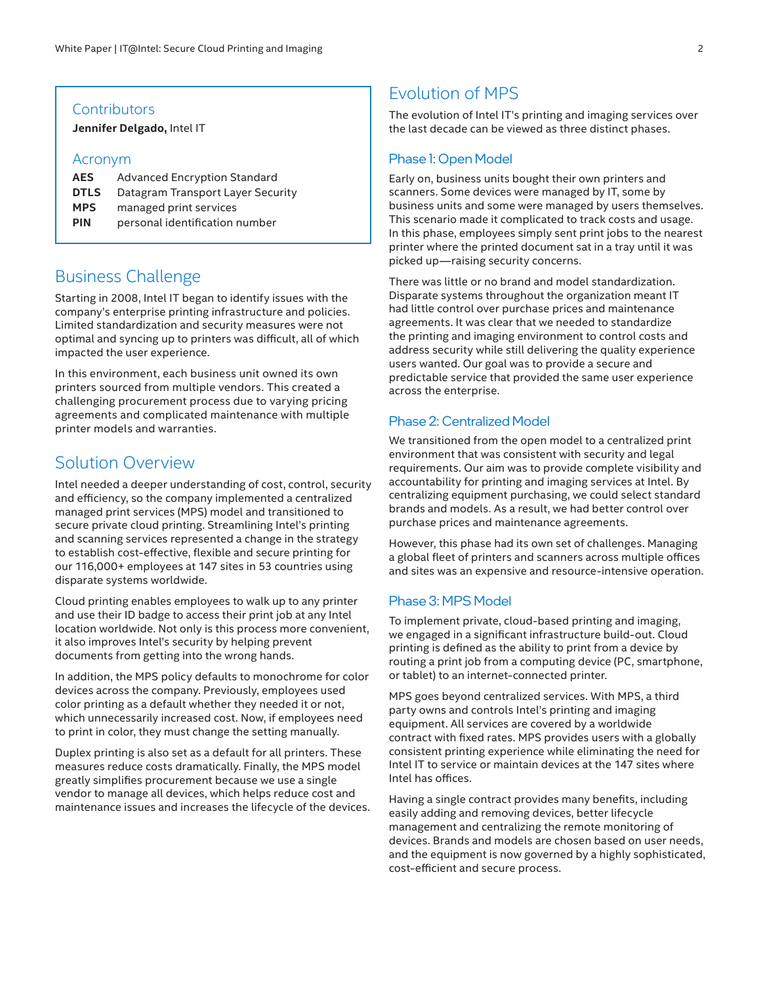#### <span id="page-1-0"></span>**Contributors**

**Jennifer Delgado,** Intel IT

#### Acronym

| <b>AES</b>  | Advanced Encryption Standard      |
|-------------|-----------------------------------|
| <b>DTLS</b> | Datagram Transport Layer Security |
| <b>MPS</b>  | managed print services            |
| <b>PIN</b>  | personal identification number    |
|             |                                   |

## Business Challenge

Starting in 2008, Intel IT began to identify issues with the company's enterprise printing infrastructure and policies. Limited standardization and security measures were not optimal and syncing up to printers was difficult, all of which impacted the user experience.

In this environment, each business unit owned its own printers sourced from multiple vendors. This created a challenging procurement process due to varying pricing agreements and complicated maintenance with multiple printer models and warranties.

## Solution Overview

Intel needed a deeper understanding of cost, control, security and efficiency, so the company implemented a centralized managed print services (MPS) model and transitioned to secure private cloud printing. Streamlining Intel's printing and scanning services represented a change in the strategy to establish cost-effective, flexible and secure printing for our 116,000+ employees at 147 sites in 53 countries using disparate systems worldwide.

Cloud printing enables employees to walk up to any printer and use their ID badge to access their print job at any Intel location worldwide. Not only is this process more convenient, it also improves Intel's security by helping prevent documents from getting into the wrong hands.

In addition, the MPS policy defaults to monochrome for color devices across the company. Previously, employees used color printing as a default whether they needed it or not, which unnecessarily increased cost. Now, if employees need to print in color, they must change the setting manually.

Duplex printing is also set as a default for all printers. These measures reduce costs dramatically. Finally, the MPS model greatly simplifies procurement because we use a single vendor to manage all devices, which helps reduce cost and maintenance issues and increases the lifecycle of the devices.

# Evolution of MPS

The evolution of Intel IT's printing and imaging services over the last decade can be viewed as three distinct phases.

#### Phase 1: Open Model

Early on, business units bought their own printers and scanners. Some devices were managed by IT, some by business units and some were managed by users themselves. This scenario made it complicated to track costs and usage. In this phase, employees simply sent print jobs to the nearest printer where the printed document sat in a tray until it was picked up—raising security concerns.

There was little or no brand and model standardization. Disparate systems throughout the organization meant IT had little control over purchase prices and maintenance agreements. It was clear that we needed to standardize the printing and imaging environment to control costs and address security while still delivering the quality experience users wanted. Our goal was to provide a secure and predictable service that provided the same user experience across the enterprise.

#### Phase 2: Centralized Model

We transitioned from the open model to a centralized print environment that was consistent with security and legal requirements. Our aim was to provide complete visibility and accountability for printing and imaging services at Intel. By centralizing equipment purchasing, we could select standard brands and models. As a result, we had better control over purchase prices and maintenance agreements.

However, this phase had its own set of challenges. Managing a global fleet of printers and scanners across multiple offices and sites was an expensive and resource-intensive operation.

#### Phase 3: MPS Model

To implement private, cloud-based printing and imaging, we engaged in a significant infrastructure build-out. Cloud printing is defined as the ability to print from a device by routing a print job from a computing device (PC, smartphone, or tablet) to an internet-connected printer.

MPS goes beyond centralized services. With MPS, a third party owns and controls Intel's printing and imaging equipment. All services are covered by a worldwide contract with fixed rates. MPS provides users with a globally consistent printing experience while eliminating the need for Intel IT to service or maintain devices at the 147 sites where Intel has offices.

Having a single contract provides many benefits, including easily adding and removing devices, better lifecycle management and centralizing the remote monitoring of devices. Brands and models are chosen based on user needs, and the equipment is now governed by a highly sophisticated, cost-efficient and secure process.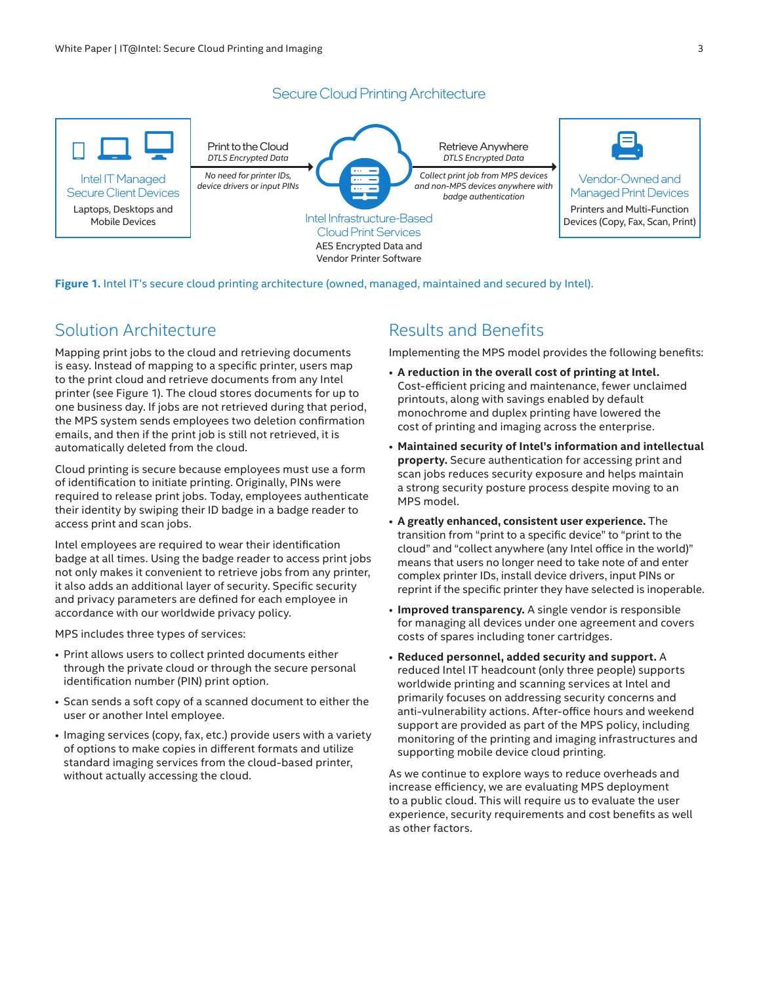## Secure Cloud Printing Architecture

<span id="page-2-0"></span>

**Figure 1.** Intel IT's secure cloud printing architecture (owned, managed, maintained and secured by Intel).

# Solution Architecture

Mapping print jobs to the cloud and retrieving documents is easy. Instead of mapping to a specific printer, users map to the print cloud and retrieve documents from any Intel printer (see Figure 1). The cloud stores documents for up to one business day. If jobs are not retrieved during that period, the MPS system sends employees two deletion confirmation emails, and then if the print job is still not retrieved, it is automatically deleted from the cloud.

Cloud printing is secure because employees must use a form of identification to initiate printing. Originally, PINs were required to release print jobs. Today, employees authenticate their identity by swiping their ID badge in a badge reader to access print and scan jobs.

Intel employees are required to wear their identification badge at all times. Using the badge reader to access print jobs not only makes it convenient to retrieve jobs from any printer, it also adds an additional layer of security. Specific security and privacy parameters are defined for each employee in accordance with our worldwide privacy policy.

MPS includes three types of services:

- Print allows users to collect printed documents either through the private cloud or through the secure personal identification number (PIN) print option.
- Scan sends a soft copy of a scanned document to either the user or another Intel employee.
- Imaging services (copy, fax, etc.) provide users with a variety of options to make copies in different formats and utilize standard imaging services from the cloud-based printer, without actually accessing the cloud.

# Results and Benefits

Implementing the MPS model provides the following benefits:

- **A reduction in the overall cost of printing at Intel.** Cost-efficient pricing and maintenance, fewer unclaimed printouts, along with savings enabled by default monochrome and duplex printing have lowered the cost of printing and imaging across the enterprise.
- **Maintained security of Intel's information and intellectual property.** Secure authentication for accessing print and scan jobs reduces security exposure and helps maintain a strong security posture process despite moving to an MPS model.
- **A greatly enhanced, consistent user experience.** The transition from "print to a specific device" to "print to the cloud" and "collect anywhere (any Intel office in the world)" means that users no longer need to take note of and enter complex printer IDs, install device drivers, input PINs or reprint if the specific printer they have selected is inoperable.
- **Improved transparency.** A single vendor is responsible for managing all devices under one agreement and covers costs of spares including toner cartridges.
- **Reduced personnel, added security and support.** A reduced Intel IT headcount (only three people) supports worldwide printing and scanning services at Intel and primarily focuses on addressing security concerns and anti-vulnerability actions. After-office hours and weekend support are provided as part of the MPS policy, including monitoring of the printing and imaging infrastructures and supporting mobile device cloud printing.

As we continue to explore ways to reduce overheads and increase efficiency, we are evaluating MPS deployment to a public cloud. This will require us to evaluate the user experience, security requirements and cost benefits as well as other factors.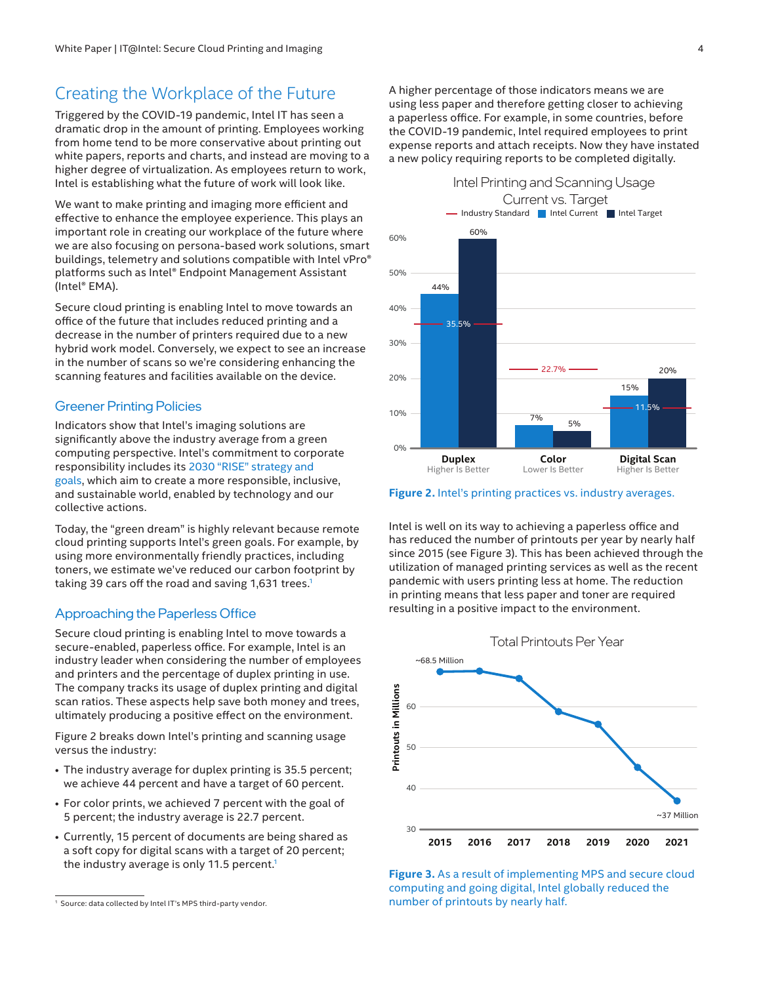## <span id="page-3-0"></span>Creating the Workplace of the Future

Triggered by the COVID-19 pandemic, Intel IT has seen a dramatic drop in the amount of printing. Employees working from home tend to be more conservative about printing out white papers, reports and charts, and instead are moving to a higher degree of virtualization. As employees return to work, Intel is establishing what the future of work will look like.

We want to make printing and imaging more efficient and effective to enhance the employee experience. This plays an important role in creating our workplace of the future where we are also focusing on persona-based work solutions, smart buildings, telemetry and solutions compatible with Intel vPro® platforms such as Intel® Endpoint Management Assistant (Intel® EMA).

Secure cloud printing is enabling Intel to move towards an office of the future that includes reduced printing and a decrease in the number of printers required due to a new hybrid work model. Conversely, we expect to see an increase in the number of scans so we're considering enhancing the scanning features and facilities available on the device.

#### Greener Printing Policies

Indicators show that Intel's imaging solutions are significantly above the industry average from a green computing perspective. Intel's commitment to corporate responsibility includes its [2030 "RISE" strategy and](https://www.intel.com/content/www/us/en/corporate-responsibility/2030-goals.html)  [goals](https://www.intel.com/content/www/us/en/corporate-responsibility/2030-goals.html), which aim to create a more responsible, inclusive, and sustainable world, enabled by technology and our collective actions.

Today, the "green dream" is highly relevant because remote cloud printing supports Intel's green goals. For example, by using more environmentally friendly practices, including toners, we estimate we've reduced our carbon footprint by taking 39 cars off the road and saving 1,631 trees.<sup>1</sup>

## Approaching the Paperless Office

Secure cloud printing is enabling Intel to move towards a secure-enabled, paperless office. For example, Intel is an industry leader when considering the number of employees and printers and the percentage of duplex printing in use. The company tracks its usage of duplex printing and digital scan ratios. These aspects help save both money and trees, ultimately producing a positive effect on the environment.

Figure 2 breaks down Intel's printing and scanning usage versus the industry:

- The industry average for duplex printing is 35.5 percent; we achieve 44 percent and have a target of 60 percent.
- For color prints, we achieved 7 percent with the goal of 5 percent; the industry average is 22.7 percent.
- Currently, 15 percent of documents are being shared as a soft copy for digital scans with a target of 20 percent; the industry average is only 11.5 percent.<sup>1</sup>

A higher percentage of those indicators means we are using less paper and therefore getting closer to achieving a paperless office. For example, in some countries, before the COVID-19 pandemic, Intel required employees to print expense reports and attach receipts. Now they have instated a new policy requiring reports to be completed digitally.



**Figure 2.** Intel's printing practices vs. industry averages.

Intel is well on its way to achieving a paperless office and has reduced the number of printouts per year by nearly half since 2015 (see Figure 3). This has been achieved through the utilization of managed printing services as well as the recent pandemic with users printing less at home. The reduction in printing means that less paper and toner are required resulting in a positive impact to the environment.





<sup>1</sup> Source: data collected by Intel IT's MPS third-party vendor.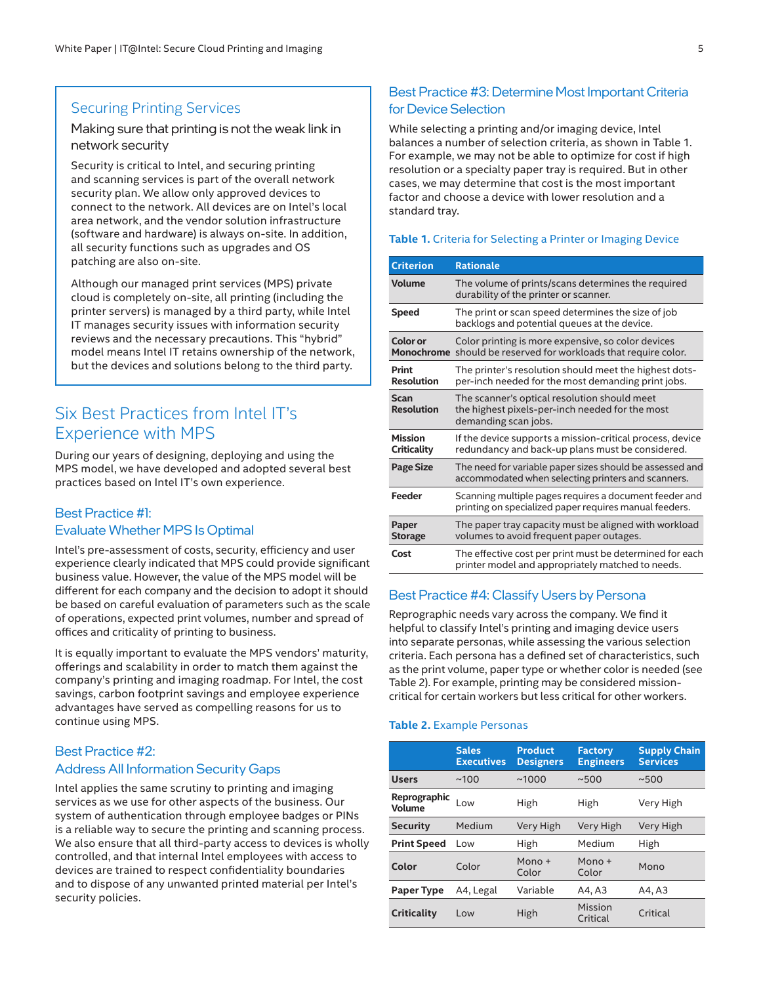## <span id="page-4-0"></span>Securing Printing Services

#### Making sure that printing is not the weak link in network security

Security is critical to Intel, and securing printing and scanning services is part of the overall network security plan. We allow only approved devices to connect to the network. All devices are on Intel's local area network, and the vendor solution infrastructure (software and hardware) is always on-site. In addition, all security functions such as upgrades and OS patching are also on-site.

Although our managed print services (MPS) private cloud is completely on-site, all printing (including the printer servers) is managed by a third party, while Intel IT manages security issues with information security reviews and the necessary precautions. This "hybrid" model means Intel IT retains ownership of the network, but the devices and solutions belong to the third party.

## Six Best Practices from Intel IT's Experience with MPS

During our years of designing, deploying and using the MPS model, we have developed and adopted several best practices based on Intel IT's own experience.

## Best Practice #1: Evaluate Whether MPS Is Optimal

Intel's pre-assessment of costs, security, efficiency and user experience clearly indicated that MPS could provide significant business value. However, the value of the MPS model will be different for each company and the decision to adopt it should be based on careful evaluation of parameters such as the scale of operations, expected print volumes, number and spread of offices and criticality of printing to business.

It is equally important to evaluate the MPS vendors' maturity, offerings and scalability in order to match them against the company's printing and imaging roadmap. For Intel, the cost savings, carbon footprint savings and employee experience advantages have served as compelling reasons for us to continue using MPS.

## Best Practice #2: Address All Information Security Gaps

Intel applies the same scrutiny to printing and imaging services as we use for other aspects of the business. Our system of authentication through employee badges or PINs is a reliable way to secure the printing and scanning process. We also ensure that all third-party access to devices is wholly controlled, and that internal Intel employees with access to devices are trained to respect confidentiality boundaries and to dispose of any unwanted printed material per Intel's security policies.

## Best Practice #3: Determine Most Important Criteria for Device Selection

While selecting a printing and/or imaging device, Intel balances a number of selection criteria, as shown in Table 1. For example, we may not be able to optimize for cost if high resolution or a specialty paper tray is required. But in other cases, we may determine that cost is the most important factor and choose a device with lower resolution and a standard tray.

#### **Table 1.** Criteria for Selecting a Printer or Imaging Device

| <b>Criterion</b>              | <b>Rationale</b>                                                                                                        |  |  |
|-------------------------------|-------------------------------------------------------------------------------------------------------------------------|--|--|
| <b>Volume</b>                 | The volume of prints/scans determines the required<br>durability of the printer or scanner.                             |  |  |
| <b>Speed</b>                  | The print or scan speed determines the size of job<br>backlogs and potential queues at the device.                      |  |  |
| Color or                      | Color printing is more expensive, so color devices<br>Monochrome should be reserved for workloads that require color.   |  |  |
| Print<br><b>Resolution</b>    | The printer's resolution should meet the highest dots-<br>per-inch needed for the most demanding print jobs.            |  |  |
| Scan<br><b>Resolution</b>     | The scanner's optical resolution should meet<br>the highest pixels-per-inch needed for the most<br>demanding scan jobs. |  |  |
| <b>Mission</b><br>Criticality | If the device supports a mission-critical process, device<br>redundancy and back-up plans must be considered.           |  |  |
| <b>Page Size</b>              | The need for variable paper sizes should be assessed and<br>accommodated when selecting printers and scanners.          |  |  |
| Feeder                        | Scanning multiple pages requires a document feeder and<br>printing on specialized paper requires manual feeders.        |  |  |
| Paper<br><b>Storage</b>       | The paper tray capacity must be aligned with workload<br>volumes to avoid frequent paper outages.                       |  |  |
| Cost                          | The effective cost per print must be determined for each<br>printer model and appropriately matched to needs.           |  |  |

#### Best Practice #4: Classify Users by Persona

Reprographic needs vary across the company. We find it helpful to classify Intel's printing and imaging device users into separate personas, while assessing the various selection criteria. Each persona has a defined set of characteristics, such as the print volume, paper type or whether color is needed (see Table 2). For example, printing may be considered missioncritical for certain workers but less critical for other workers.

#### **Table 2.** Example Personas

|                        | <b>Sales</b><br><b>Executives</b> | <b>Product</b><br><b>Designers</b> | <b>Factory</b><br><b>Engineers</b> | <b>Supply Chain</b><br><b>Services</b> |
|------------------------|-----------------------------------|------------------------------------|------------------------------------|----------------------------------------|
| <b>Users</b>           | ~100                              | ~1000                              | ~500                               | ~500                                   |
| Reprographic<br>Volume | Low                               | High                               | High                               | Very High                              |
| <b>Security</b>        | Medium                            | Very High                          | Very High                          | Very High                              |
| <b>Print Speed</b>     | Low                               | High                               | Medium                             | High                                   |
| Color                  | Color                             | $Mon0 +$<br>Color                  | $Mono +$<br>Color                  | Mono                                   |
| <b>Paper Type</b>      | A4, Legal                         | Variable                           | A4, A3                             | A4, A3                                 |
| Criticality            | Low                               | High                               | Mission<br>Critical                | Critical                               |